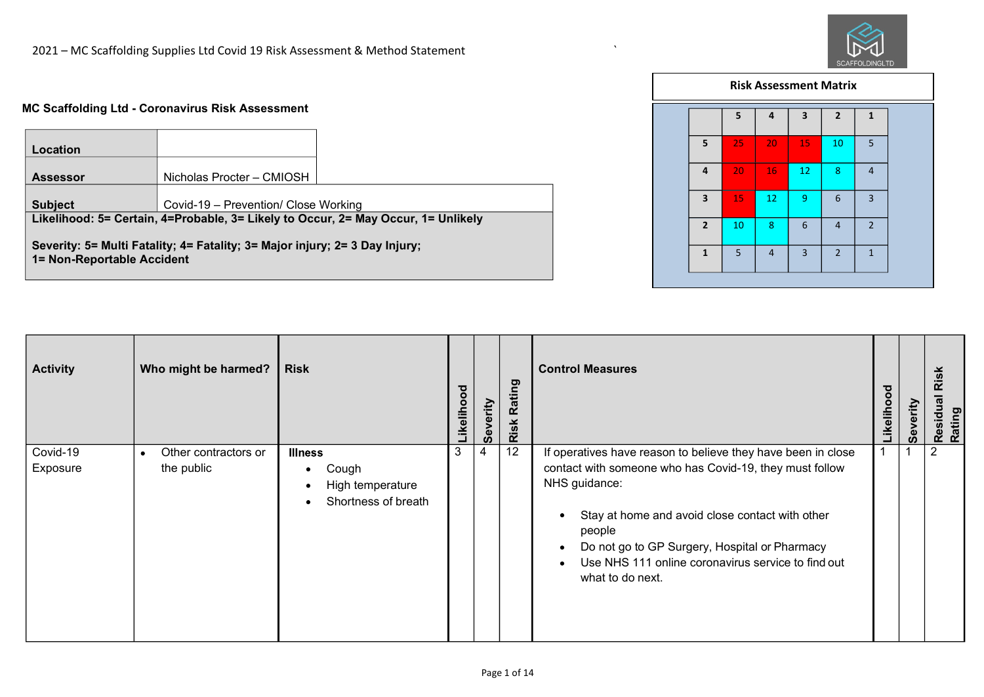## **MC Scaffolding Ltd - Coronavirus Risk Assessment**

| Location                   |                                                                             |                                                                                   |
|----------------------------|-----------------------------------------------------------------------------|-----------------------------------------------------------------------------------|
| <b>Assessor</b>            | Nicholas Procter - CMIOSH                                                   |                                                                                   |
| <b>Subject</b>             | Covid-19 - Prevention/ Close Working                                        |                                                                                   |
|                            |                                                                             | Likelihood: 5= Certain, 4=Probable, 3= Likely to Occur, 2= May Occur, 1= Unlikely |
| 1= Non-Reportable Accident | Severity: 5= Multi Fatality; 4= Fatality; 3= Major injury; 2= 3 Day Injury; |                                                                                   |

|                         |    |                |                         | <b>Risk Assessment Matrix</b> |                |  |
|-------------------------|----|----------------|-------------------------|-------------------------------|----------------|--|
|                         | 5  | 4              | $\overline{\mathbf{3}}$ | $\overline{2}$                | $\mathbf{1}$   |  |
| 5                       | 25 | 20             | 15                      | 10                            | 5              |  |
| 4                       | 20 | 16             | 12                      | 8                             | $\overline{4}$ |  |
| $\overline{\mathbf{3}}$ | 15 | 12             | 9                       | 6                             | $\overline{3}$ |  |
| $\overline{2}$          | 10 | 8              | 6                       | $\overline{4}$                | $\overline{2}$ |  |
| $\mathbf{1}$            | 5  | $\overline{4}$ | $\overline{3}$          | $\overline{2}$                | $\mathbf{1}$   |  |
|                         |    |                |                         |                               |                |  |

`

| <b>Activity</b>      | Who might be harmed?                            | <b>Risk</b>                                                                                               | ह<br>Likeliho | Severity | Rating<br>Risk | <b>Control Measures</b>                                                                                                                                                                                                                                                                                                          | ठ<br>Likelihoo | rity<br>$\overline{\mathbf{O}}$<br>Sev | <b>Residua</b><br>Rating |
|----------------------|-------------------------------------------------|-----------------------------------------------------------------------------------------------------------|---------------|----------|----------------|----------------------------------------------------------------------------------------------------------------------------------------------------------------------------------------------------------------------------------------------------------------------------------------------------------------------------------|----------------|----------------------------------------|--------------------------|
| Covid-19<br>Exposure | Other contractors or<br>$\bullet$<br>the public | <b>Illness</b><br>Cough<br>$\bullet$<br>High temperature<br>$\bullet$<br>Shortness of breath<br>$\bullet$ | 3             | 4        | 12             | If operatives have reason to believe they have been in close<br>contact with someone who has Covid-19, they must follow<br>NHS guidance:<br>Stay at home and avoid close contact with other<br>people<br>Do not go to GP Surgery, Hospital or Pharmacy<br>Use NHS 111 online coronavirus service to find out<br>what to do next. |                |                                        | 2                        |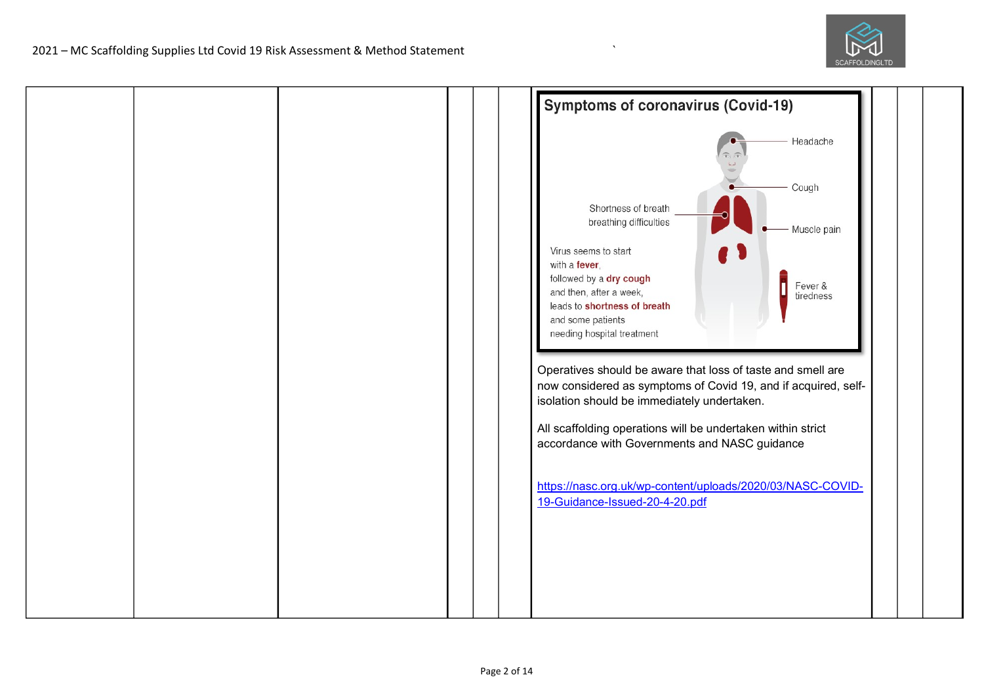

|  |  | <b>Symptoms of coronavirus (Covid-19)</b>                                                                                                                                                                                                                                                                                                                                                                                                                                                                                                                                                                                                                                                   |  |
|--|--|---------------------------------------------------------------------------------------------------------------------------------------------------------------------------------------------------------------------------------------------------------------------------------------------------------------------------------------------------------------------------------------------------------------------------------------------------------------------------------------------------------------------------------------------------------------------------------------------------------------------------------------------------------------------------------------------|--|
|  |  | Headache<br>Cough<br>Shortness of breath<br>breathing difficulties<br>Muscle pain<br>Virus seems to start<br>with a fever,<br>followed by a dry cough<br>Fever &<br>and then, after a week,<br>tiredness<br>leads to shortness of breath<br>and some patients<br>needing hospital treatment<br>Operatives should be aware that loss of taste and smell are<br>now considered as symptoms of Covid 19, and if acquired, self-<br>isolation should be immediately undertaken.<br>All scaffolding operations will be undertaken within strict<br>accordance with Governments and NASC guidance<br>https://nasc.org.uk/wp-content/uploads/2020/03/NASC-COVID-<br>19-Guidance-Issued-20-4-20.pdf |  |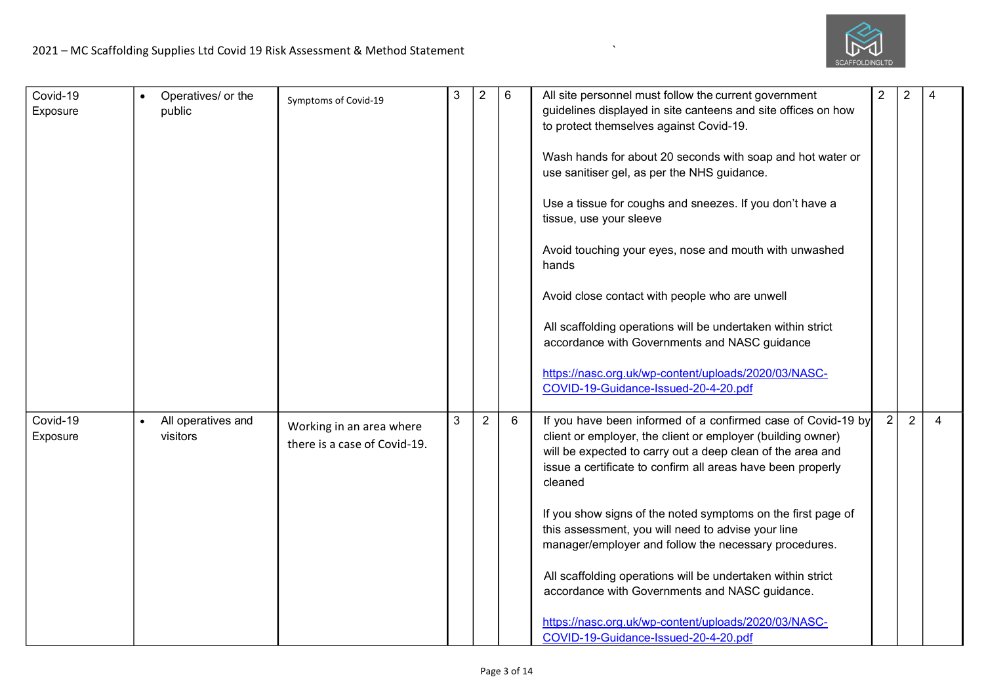

| Covid-19<br>Exposure | Operatives/ or the<br>public                | Symptoms of Covid-19                                     | 3            | $\overline{2}$ | 6 | All site personnel must follow the current government<br>guidelines displayed in site canteens and site offices on how<br>to protect themselves against Covid-19.<br>Wash hands for about 20 seconds with soap and hot water or<br>use sanitiser gel, as per the NHS guidance.<br>Use a tissue for coughs and sneezes. If you don't have a<br>tissue, use your sleeve<br>Avoid touching your eyes, nose and mouth with unwashed<br>hands<br>Avoid close contact with people who are unwell<br>All scaffolding operations will be undertaken within strict<br>accordance with Governments and NASC guidance<br>https://nasc.org.uk/wp-content/uploads/2020/03/NASC-<br>COVID-19-Guidance-Issued-20-4-20.pdf | $\overline{2}$ | $\overline{2}$ | 4              |
|----------------------|---------------------------------------------|----------------------------------------------------------|--------------|----------------|---|------------------------------------------------------------------------------------------------------------------------------------------------------------------------------------------------------------------------------------------------------------------------------------------------------------------------------------------------------------------------------------------------------------------------------------------------------------------------------------------------------------------------------------------------------------------------------------------------------------------------------------------------------------------------------------------------------------|----------------|----------------|----------------|
| Covid-19<br>Exposure | All operatives and<br>$\bullet$<br>visitors | Working in an area where<br>there is a case of Covid-19. | $\mathbf{3}$ | $\overline{2}$ | 6 | If you have been informed of a confirmed case of Covid-19 by<br>client or employer, the client or employer (building owner)<br>will be expected to carry out a deep clean of the area and<br>issue a certificate to confirm all areas have been properly<br>cleaned<br>If you show signs of the noted symptoms on the first page of<br>this assessment, you will need to advise your line<br>manager/employer and follow the necessary procedures.<br>All scaffolding operations will be undertaken within strict<br>accordance with Governments and NASC guidance.<br>https://nasc.org.uk/wp-content/uploads/2020/03/NASC-<br>COVID-19-Guidance-Issued-20-4-20.pdf                                        | $\overline{2}$ | $\overline{2}$ | $\overline{4}$ |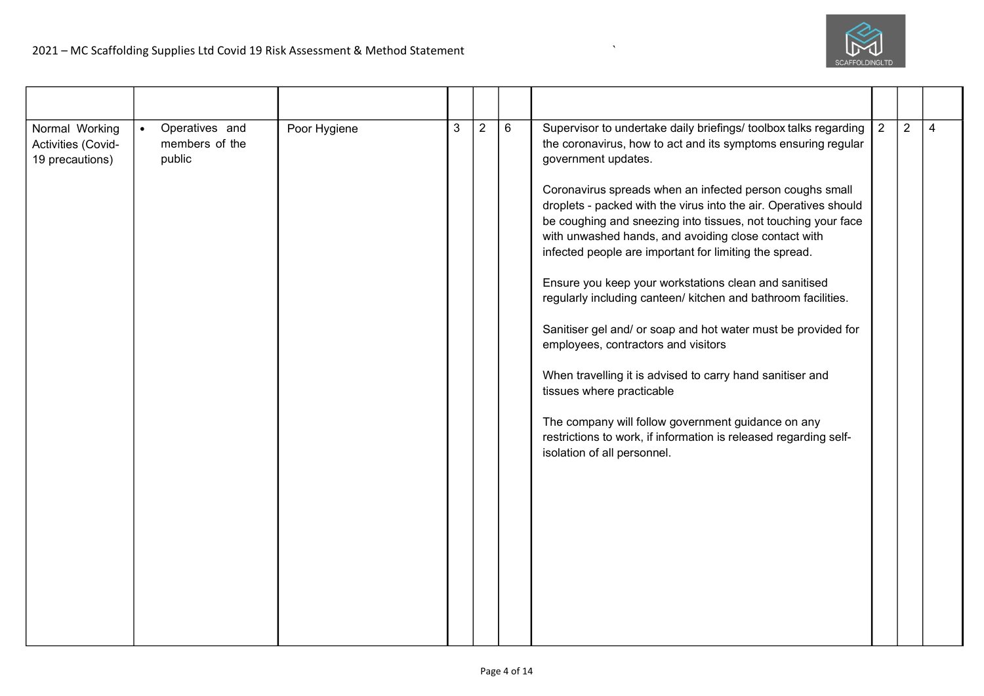

| Normal Working<br>Activities (Covid-<br>19 precautions) | Operatives and<br>$\bullet$<br>members of the<br>public | Poor Hygiene | 3 | $\overline{2}$ | 6 | Supervisor to undertake daily briefings/ toolbox talks regarding<br>the coronavirus, how to act and its symptoms ensuring regular<br>government updates.<br>Coronavirus spreads when an infected person coughs small<br>droplets - packed with the virus into the air. Operatives should<br>be coughing and sneezing into tissues, not touching your face<br>with unwashed hands, and avoiding close contact with<br>infected people are important for limiting the spread.<br>Ensure you keep your workstations clean and sanitised<br>regularly including canteen/ kitchen and bathroom facilities.<br>Sanitiser gel and/ or soap and hot water must be provided for<br>employees, contractors and visitors<br>When travelling it is advised to carry hand sanitiser and<br>tissues where practicable<br>The company will follow government guidance on any<br>restrictions to work, if information is released regarding self-<br>isolation of all personnel. | $\overline{2}$ | $\overline{2}$ | $\overline{4}$ |
|---------------------------------------------------------|---------------------------------------------------------|--------------|---|----------------|---|------------------------------------------------------------------------------------------------------------------------------------------------------------------------------------------------------------------------------------------------------------------------------------------------------------------------------------------------------------------------------------------------------------------------------------------------------------------------------------------------------------------------------------------------------------------------------------------------------------------------------------------------------------------------------------------------------------------------------------------------------------------------------------------------------------------------------------------------------------------------------------------------------------------------------------------------------------------|----------------|----------------|----------------|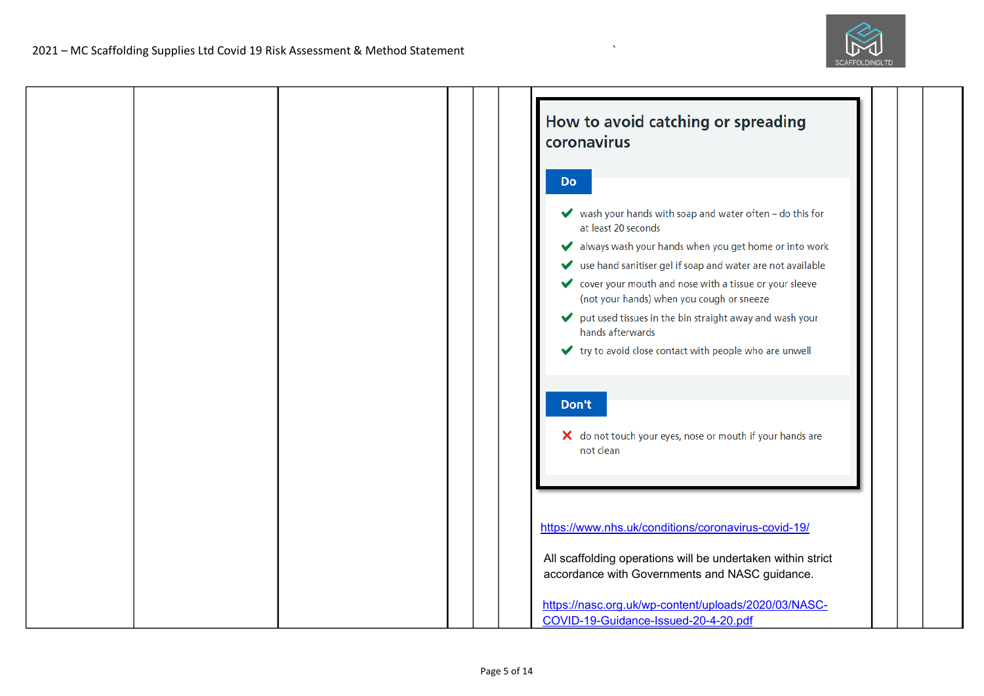

| How to avoid catching or spreading<br>coronavirus                                                                                                                                                                                                                                                 |
|---------------------------------------------------------------------------------------------------------------------------------------------------------------------------------------------------------------------------------------------------------------------------------------------------|
| <b>Do</b>                                                                                                                                                                                                                                                                                         |
| $\blacktriangleright$ wash your hands with soap and water often - do this for<br>at least 20 seconds<br>always wash your hands when you get home or into work<br>v<br>use hand sanitiser gel if soap and water are not available<br>✔<br>◆ cover your mouth and nose with a tissue or your sleeve |
| (not your hands) when you cough or sneeze<br>put used tissues in the bin straight away and wash your<br>✔<br>hands afterwards<br>↓ try to avoid close contact with people who are unwell                                                                                                          |
| Don't<br>X do not touch your eyes, nose or mouth if your hands are<br>not clean                                                                                                                                                                                                                   |
| https://www.nhs.uk/conditions/coronavirus-covid-19/                                                                                                                                                                                                                                               |
| All scaffolding operations will be undertaken within strict<br>accordance with Governments and NASC guidance.                                                                                                                                                                                     |
| https://nasc.org.uk/wp-content/uploads/2020/03/NASC-<br>COVID-19-Guidance-Issued-20-4-20.pdf                                                                                                                                                                                                      |

 $\overline{\phantom{a}}$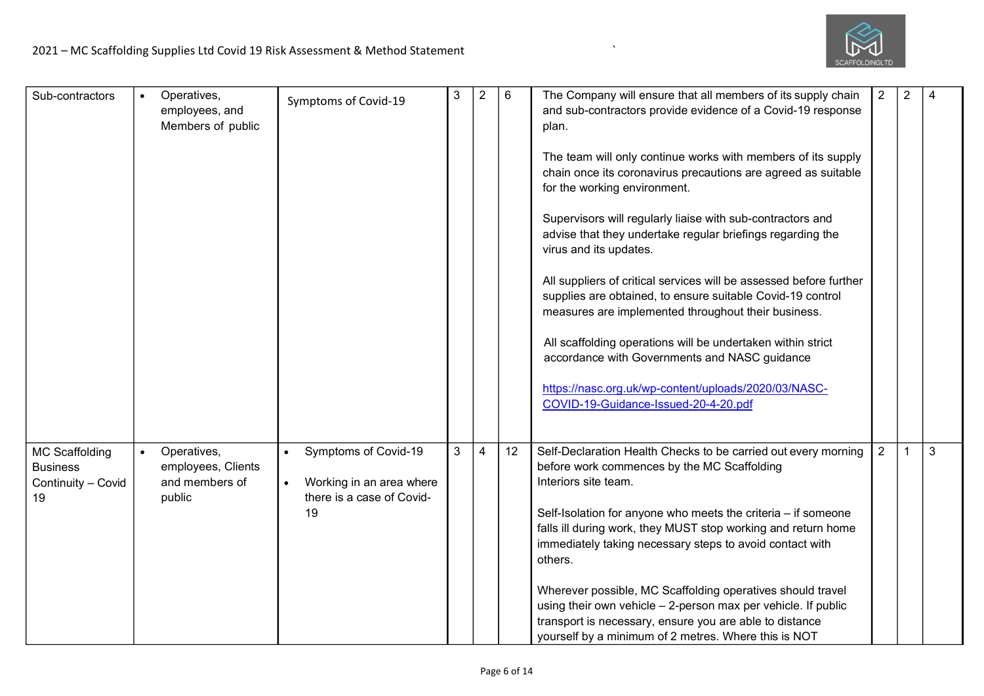

| Sub-contractors                                                      | Operatives,<br>employees, and<br>Members of public            | Symptoms of Covid-19                                                                | 3 | $\overline{2}$ | 6  | The Company will ensure that all members of its supply chain<br>and sub-contractors provide evidence of a Covid-19 response<br>plan.<br>The team will only continue works with members of its supply<br>chain once its coronavirus precautions are agreed as suitable<br>for the working environment.<br>Supervisors will regularly liaise with sub-contractors and<br>advise that they undertake regular briefings regarding the<br>virus and its updates.<br>All suppliers of critical services will be assessed before further<br>supplies are obtained, to ensure suitable Covid-19 control<br>measures are implemented throughout their business.<br>All scaffolding operations will be undertaken within strict<br>accordance with Governments and NASC guidance<br>https://nasc.org.uk/wp-content/uploads/2020/03/NASC-<br>COVID-19-Guidance-Issued-20-4-20.pdf | $\overline{2}$ | $\overline{2}$ | 4 |
|----------------------------------------------------------------------|---------------------------------------------------------------|-------------------------------------------------------------------------------------|---|----------------|----|------------------------------------------------------------------------------------------------------------------------------------------------------------------------------------------------------------------------------------------------------------------------------------------------------------------------------------------------------------------------------------------------------------------------------------------------------------------------------------------------------------------------------------------------------------------------------------------------------------------------------------------------------------------------------------------------------------------------------------------------------------------------------------------------------------------------------------------------------------------------|----------------|----------------|---|
| <b>MC Scaffolding</b><br><b>Business</b><br>Continuity - Covid<br>19 | Operatives,<br>employees, Clients<br>and members of<br>public | Symptoms of Covid-19<br>Working in an area where<br>there is a case of Covid-<br>19 | 3 | $\overline{4}$ | 12 | Self-Declaration Health Checks to be carried out every morning<br>before work commences by the MC Scaffolding<br>Interiors site team.<br>Self-Isolation for anyone who meets the criteria - if someone<br>falls ill during work, they MUST stop working and return home<br>immediately taking necessary steps to avoid contact with<br>others.<br>Wherever possible, MC Scaffolding operatives should travel<br>using their own vehicle - 2-person max per vehicle. If public<br>transport is necessary, ensure you are able to distance<br>yourself by a minimum of 2 metres. Where this is NOT                                                                                                                                                                                                                                                                       | $\overline{2}$ | $\mathbf{1}$   | 3 |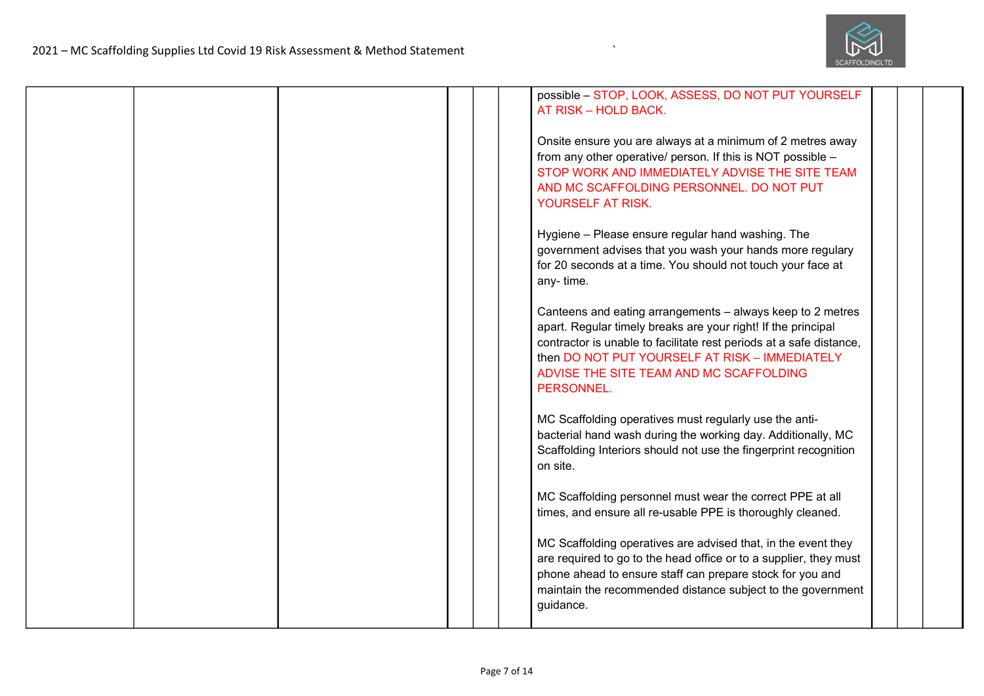

|  |  | possible - STOP, LOOK, ASSESS, DO NOT PUT YOURSELF<br>AT RISK - HOLD BACK.                                                                                                                                                                                                                                    |  |
|--|--|---------------------------------------------------------------------------------------------------------------------------------------------------------------------------------------------------------------------------------------------------------------------------------------------------------------|--|
|  |  | Onsite ensure you are always at a minimum of 2 metres away<br>from any other operative/ person. If this is NOT possible -<br>STOP WORK AND IMMEDIATELY ADVISE THE SITE TEAM<br>AND MC SCAFFOLDING PERSONNEL. DO NOT PUT<br>YOURSELF AT RISK.                                                                  |  |
|  |  | Hygiene - Please ensure regular hand washing. The<br>government advises that you wash your hands more regulary<br>for 20 seconds at a time. You should not touch your face at<br>any-time.                                                                                                                    |  |
|  |  | Canteens and eating arrangements – always keep to 2 metres<br>apart. Regular timely breaks are your right! If the principal<br>contractor is unable to facilitate rest periods at a safe distance,<br>then DO NOT PUT YOURSELF AT RISK - IMMEDIATELY<br>ADVISE THE SITE TEAM AND MC SCAFFOLDING<br>PERSONNEL. |  |
|  |  | MC Scaffolding operatives must regularly use the anti-<br>bacterial hand wash during the working day. Additionally, MC<br>Scaffolding Interiors should not use the fingerprint recognition<br>on site.                                                                                                        |  |
|  |  | MC Scaffolding personnel must wear the correct PPE at all<br>times, and ensure all re-usable PPE is thoroughly cleaned.                                                                                                                                                                                       |  |
|  |  | MC Scaffolding operatives are advised that, in the event they<br>are required to go to the head office or to a supplier, they must<br>phone ahead to ensure staff can prepare stock for you and<br>maintain the recommended distance subject to the government<br>guidance.                                   |  |

 $\mathbf{r}$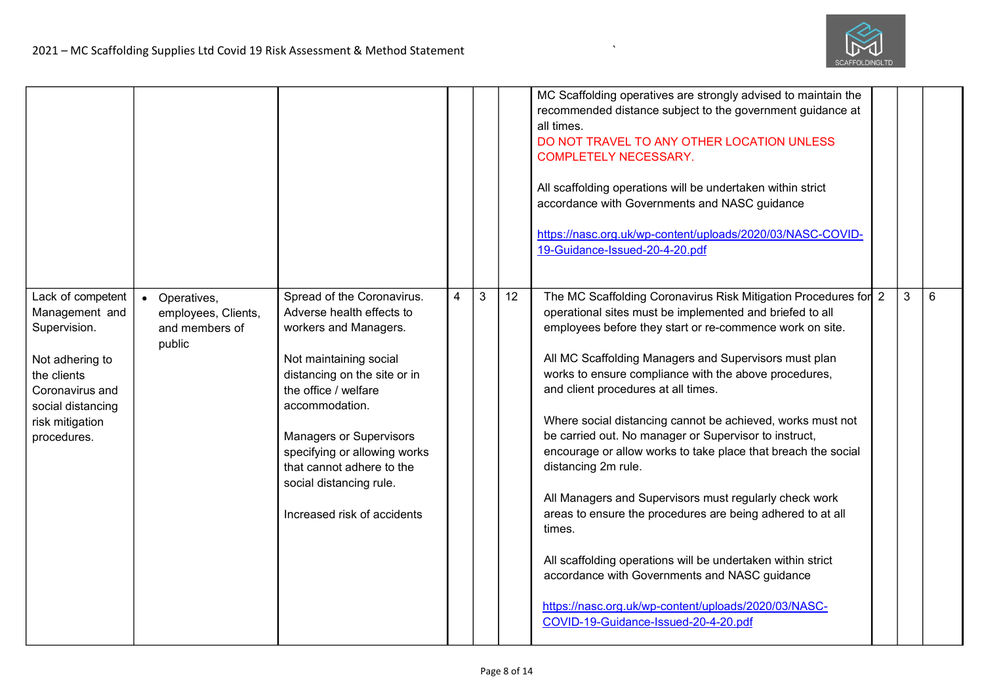

|                                                                                                                                                                 |                                                                             |                                                                                                                                                                                                                                                                                                                                               |                |                |    | MC Scaffolding operatives are strongly advised to maintain the<br>recommended distance subject to the government guidance at<br>all times.<br>DO NOT TRAVEL TO ANY OTHER LOCATION UNLESS<br><b>COMPLETELY NECESSARY.</b><br>All scaffolding operations will be undertaken within strict<br>accordance with Governments and NASC guidance<br>https://nasc.org.uk/wp-content/uploads/2020/03/NASC-COVID-<br>19-Guidance-Issued-20-4-20.pdf                                                                                                                                                                                                                                                                                                                                                                                                                                                                          |   |   |
|-----------------------------------------------------------------------------------------------------------------------------------------------------------------|-----------------------------------------------------------------------------|-----------------------------------------------------------------------------------------------------------------------------------------------------------------------------------------------------------------------------------------------------------------------------------------------------------------------------------------------|----------------|----------------|----|-------------------------------------------------------------------------------------------------------------------------------------------------------------------------------------------------------------------------------------------------------------------------------------------------------------------------------------------------------------------------------------------------------------------------------------------------------------------------------------------------------------------------------------------------------------------------------------------------------------------------------------------------------------------------------------------------------------------------------------------------------------------------------------------------------------------------------------------------------------------------------------------------------------------|---|---|
| Lack of competent<br>Management and<br>Supervision.<br>Not adhering to<br>the clients<br>Coronavirus and<br>social distancing<br>risk mitigation<br>procedures. | Operatives,<br>$\bullet$<br>employees, Clients,<br>and members of<br>public | Spread of the Coronavirus.<br>Adverse health effects to<br>workers and Managers.<br>Not maintaining social<br>distancing on the site or in<br>the office / welfare<br>accommodation.<br><b>Managers or Supervisors</b><br>specifying or allowing works<br>that cannot adhere to the<br>social distancing rule.<br>Increased risk of accidents | $\overline{4}$ | $\mathfrak{Z}$ | 12 | The MC Scaffolding Coronavirus Risk Mitigation Procedures for 2<br>operational sites must be implemented and briefed to all<br>employees before they start or re-commence work on site.<br>All MC Scaffolding Managers and Supervisors must plan<br>works to ensure compliance with the above procedures,<br>and client procedures at all times.<br>Where social distancing cannot be achieved, works must not<br>be carried out. No manager or Supervisor to instruct,<br>encourage or allow works to take place that breach the social<br>distancing 2m rule.<br>All Managers and Supervisors must regularly check work<br>areas to ensure the procedures are being adhered to at all<br>times.<br>All scaffolding operations will be undertaken within strict<br>accordance with Governments and NASC guidance<br>https://nasc.org.uk/wp-content/uploads/2020/03/NASC-<br>COVID-19-Guidance-Issued-20-4-20.pdf | 3 | 6 |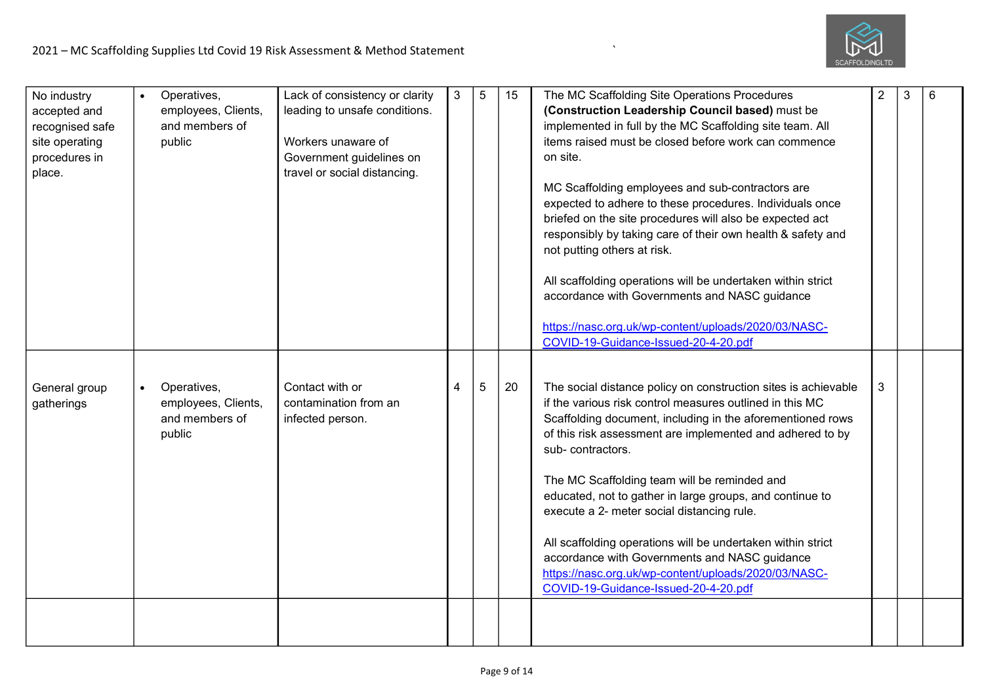

| No industry<br>accepted and<br>recognised safe<br>site operating<br>procedures in<br>place. |           | Operatives,<br>employees, Clients,<br>and members of<br>public | Lack of consistency or clarity<br>leading to unsafe conditions.<br>Workers unaware of<br>Government guidelines on<br>travel or social distancing. | 3 | $\overline{5}$ | 15 | The MC Scaffolding Site Operations Procedures<br>(Construction Leadership Council based) must be<br>implemented in full by the MC Scaffolding site team. All<br>items raised must be closed before work can commence<br>on site.<br>MC Scaffolding employees and sub-contractors are<br>expected to adhere to these procedures. Individuals once<br>briefed on the site procedures will also be expected act<br>responsibly by taking care of their own health & safety and<br>not putting others at risk.<br>All scaffolding operations will be undertaken within strict<br>accordance with Governments and NASC guidance<br>https://nasc.org.uk/wp-content/uploads/2020/03/NASC-<br>COVID-19-Guidance-Issued-20-4-20.pdf | $\overline{2}$ | 3 | 6 |
|---------------------------------------------------------------------------------------------|-----------|----------------------------------------------------------------|---------------------------------------------------------------------------------------------------------------------------------------------------|---|----------------|----|----------------------------------------------------------------------------------------------------------------------------------------------------------------------------------------------------------------------------------------------------------------------------------------------------------------------------------------------------------------------------------------------------------------------------------------------------------------------------------------------------------------------------------------------------------------------------------------------------------------------------------------------------------------------------------------------------------------------------|----------------|---|---|
| General group<br>gatherings                                                                 | $\bullet$ | Operatives,<br>employees, Clients,<br>and members of<br>public | Contact with or<br>contamination from an<br>infected person.                                                                                      | 4 | 5              | 20 | The social distance policy on construction sites is achievable<br>if the various risk control measures outlined in this MC<br>Scaffolding document, including in the aforementioned rows<br>of this risk assessment are implemented and adhered to by<br>sub-contractors.<br>The MC Scaffolding team will be reminded and<br>educated, not to gather in large groups, and continue to<br>execute a 2- meter social distancing rule.<br>All scaffolding operations will be undertaken within strict<br>accordance with Governments and NASC guidance<br>https://nasc.org.uk/wp-content/uploads/2020/03/NASC-<br>COVID-19-Guidance-Issued-20-4-20.pdf                                                                        | 3              |   |   |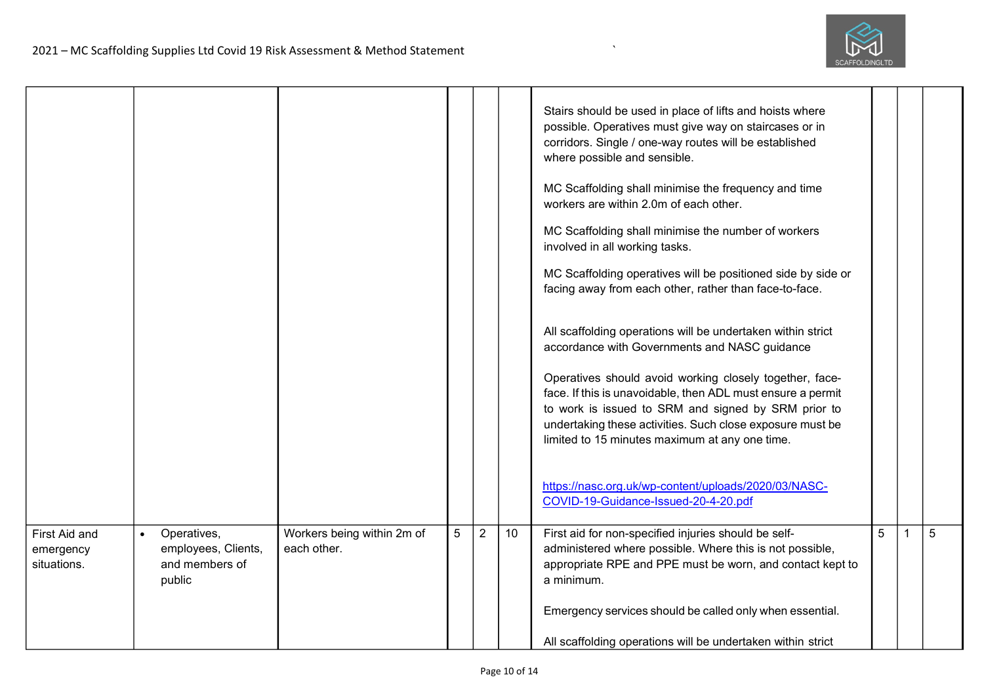

|                                           |           |                                                                |                                           |   |                |    | Stairs should be used in place of lifts and hoists where<br>possible. Operatives must give way on staircases or in<br>corridors. Single / one-way routes will be established<br>where possible and sensible.<br>MC Scaffolding shall minimise the frequency and time<br>workers are within 2.0m of each other.<br>MC Scaffolding shall minimise the number of workers<br>involved in all working tasks.<br>MC Scaffolding operatives will be positioned side by side or<br>facing away from each other, rather than face-to-face.<br>All scaffolding operations will be undertaken within strict<br>accordance with Governments and NASC guidance<br>Operatives should avoid working closely together, face-<br>face. If this is unavoidable, then ADL must ensure a permit<br>to work is issued to SRM and signed by SRM prior to<br>undertaking these activities. Such close exposure must be<br>limited to 15 minutes maximum at any one time.<br>https://nasc.org.uk/wp-content/uploads/2020/03/NASC-<br>COVID-19-Guidance-Issued-20-4-20.pdf |   |   |
|-------------------------------------------|-----------|----------------------------------------------------------------|-------------------------------------------|---|----------------|----|---------------------------------------------------------------------------------------------------------------------------------------------------------------------------------------------------------------------------------------------------------------------------------------------------------------------------------------------------------------------------------------------------------------------------------------------------------------------------------------------------------------------------------------------------------------------------------------------------------------------------------------------------------------------------------------------------------------------------------------------------------------------------------------------------------------------------------------------------------------------------------------------------------------------------------------------------------------------------------------------------------------------------------------------------|---|---|
| First Aid and<br>emergency<br>situations. | $\bullet$ | Operatives,<br>employees, Clients,<br>and members of<br>public | Workers being within 2m of<br>each other. | 5 | $\overline{2}$ | 10 | First aid for non-specified injuries should be self-<br>administered where possible. Where this is not possible,<br>appropriate RPE and PPE must be worn, and contact kept to<br>a minimum.                                                                                                                                                                                                                                                                                                                                                                                                                                                                                                                                                                                                                                                                                                                                                                                                                                                       | 5 | 5 |
|                                           |           |                                                                |                                           |   |                |    | Emergency services should be called only when essential.<br>All scaffolding operations will be undertaken within strict                                                                                                                                                                                                                                                                                                                                                                                                                                                                                                                                                                                                                                                                                                                                                                                                                                                                                                                           |   |   |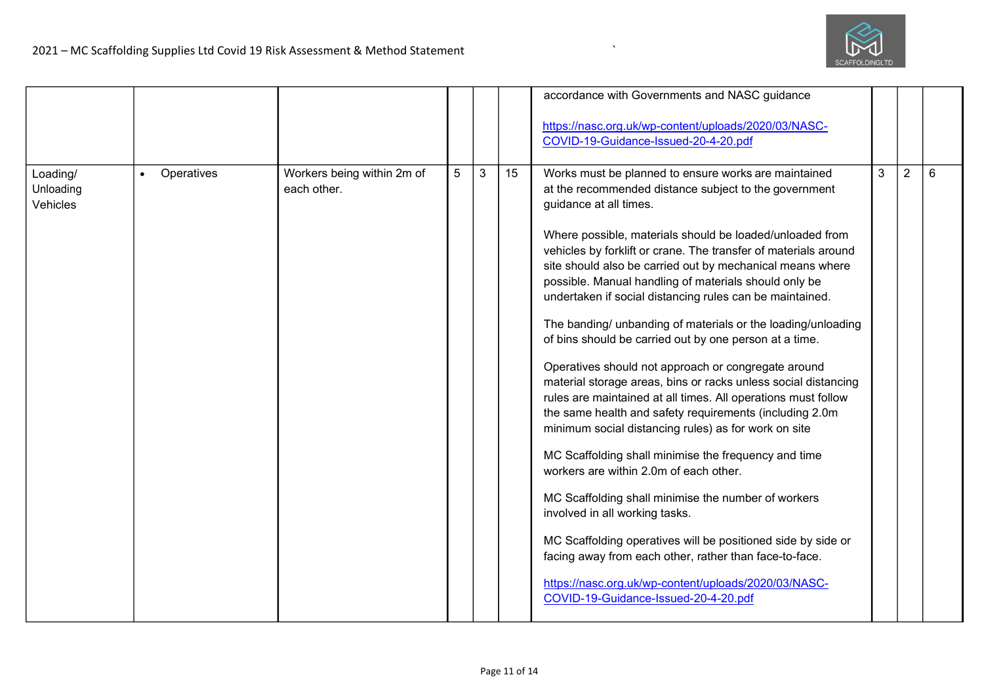

|                                   |                         |                                           |   |   |    | accordance with Governments and NASC guidance<br>https://nasc.org.uk/wp-content/uploads/2020/03/NASC-<br>COVID-19-Guidance-Issued-20-4-20.pdf                                                                                                                                                                                                                                                                                                                                                                                                                                                                                                                                                                                                                                                                                                                                                                                                                                                                                                                                                                                                                                                                                                                                                                        |   |                |   |
|-----------------------------------|-------------------------|-------------------------------------------|---|---|----|----------------------------------------------------------------------------------------------------------------------------------------------------------------------------------------------------------------------------------------------------------------------------------------------------------------------------------------------------------------------------------------------------------------------------------------------------------------------------------------------------------------------------------------------------------------------------------------------------------------------------------------------------------------------------------------------------------------------------------------------------------------------------------------------------------------------------------------------------------------------------------------------------------------------------------------------------------------------------------------------------------------------------------------------------------------------------------------------------------------------------------------------------------------------------------------------------------------------------------------------------------------------------------------------------------------------|---|----------------|---|
| Loading/<br>Unloading<br>Vehicles | Operatives<br>$\bullet$ | Workers being within 2m of<br>each other. | 5 | 3 | 15 | Works must be planned to ensure works are maintained<br>at the recommended distance subject to the government<br>guidance at all times.<br>Where possible, materials should be loaded/unloaded from<br>vehicles by forklift or crane. The transfer of materials around<br>site should also be carried out by mechanical means where<br>possible. Manual handling of materials should only be<br>undertaken if social distancing rules can be maintained.<br>The banding/ unbanding of materials or the loading/unloading<br>of bins should be carried out by one person at a time.<br>Operatives should not approach or congregate around<br>material storage areas, bins or racks unless social distancing<br>rules are maintained at all times. All operations must follow<br>the same health and safety requirements (including 2.0m<br>minimum social distancing rules) as for work on site<br>MC Scaffolding shall minimise the frequency and time<br>workers are within 2.0m of each other.<br>MC Scaffolding shall minimise the number of workers<br>involved in all working tasks.<br>MC Scaffolding operatives will be positioned side by side or<br>facing away from each other, rather than face-to-face.<br>https://nasc.org.uk/wp-content/uploads/2020/03/NASC-<br>COVID-19-Guidance-Issued-20-4-20.pdf | 3 | $\overline{2}$ | 6 |

 $\mathbf{r}$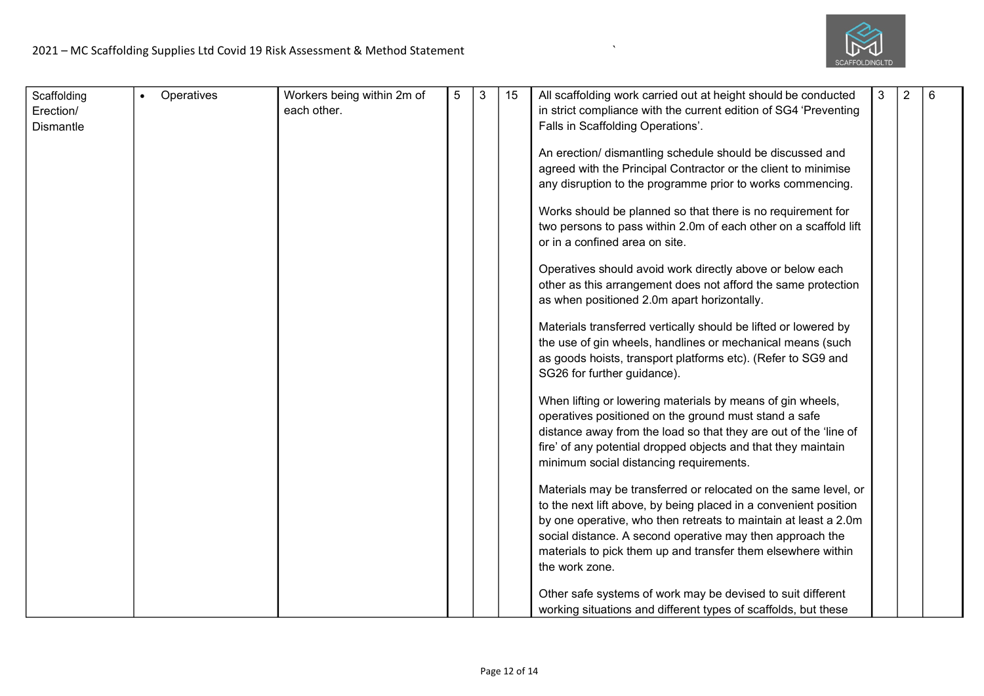

| Scaffolding<br>Erection/<br><b>Dismantle</b> | Operatives | Workers being within 2m of<br>each other. | 5 | 3 | 15 | All scaffolding work carried out at height should be conducted<br>in strict compliance with the current edition of SG4 'Preventing<br>Falls in Scaffolding Operations'.<br>An erection/ dismantling schedule should be discussed and<br>agreed with the Principal Contractor or the client to minimise<br>any disruption to the programme prior to works commencing.<br>Works should be planned so that there is no requirement for<br>two persons to pass within 2.0m of each other on a scaffold lift<br>or in a confined area on site.<br>Operatives should avoid work directly above or below each<br>other as this arrangement does not afford the same protection<br>as when positioned 2.0m apart horizontally.<br>Materials transferred vertically should be lifted or lowered by<br>the use of gin wheels, handlines or mechanical means (such<br>as goods hoists, transport platforms etc). (Refer to SG9 and<br>SG26 for further guidance).<br>When lifting or lowering materials by means of gin wheels,<br>operatives positioned on the ground must stand a safe<br>distance away from the load so that they are out of the 'line of<br>fire' of any potential dropped objects and that they maintain<br>minimum social distancing requirements.<br>Materials may be transferred or relocated on the same level, or | 3 | 2 | 6 |
|----------------------------------------------|------------|-------------------------------------------|---|---|----|----------------------------------------------------------------------------------------------------------------------------------------------------------------------------------------------------------------------------------------------------------------------------------------------------------------------------------------------------------------------------------------------------------------------------------------------------------------------------------------------------------------------------------------------------------------------------------------------------------------------------------------------------------------------------------------------------------------------------------------------------------------------------------------------------------------------------------------------------------------------------------------------------------------------------------------------------------------------------------------------------------------------------------------------------------------------------------------------------------------------------------------------------------------------------------------------------------------------------------------------------------------------------------------------------------------------------------|---|---|---|
|                                              |            |                                           |   |   |    |                                                                                                                                                                                                                                                                                                                                                                                                                                                                                                                                                                                                                                                                                                                                                                                                                                                                                                                                                                                                                                                                                                                                                                                                                                                                                                                                  |   |   |   |
|                                              |            |                                           |   |   |    | to the next lift above, by being placed in a convenient position<br>by one operative, who then retreats to maintain at least a 2.0m<br>social distance. A second operative may then approach the<br>materials to pick them up and transfer them elsewhere within<br>the work zone.                                                                                                                                                                                                                                                                                                                                                                                                                                                                                                                                                                                                                                                                                                                                                                                                                                                                                                                                                                                                                                               |   |   |   |
|                                              |            |                                           |   |   |    | Other safe systems of work may be devised to suit different<br>working situations and different types of scaffolds, but these                                                                                                                                                                                                                                                                                                                                                                                                                                                                                                                                                                                                                                                                                                                                                                                                                                                                                                                                                                                                                                                                                                                                                                                                    |   |   |   |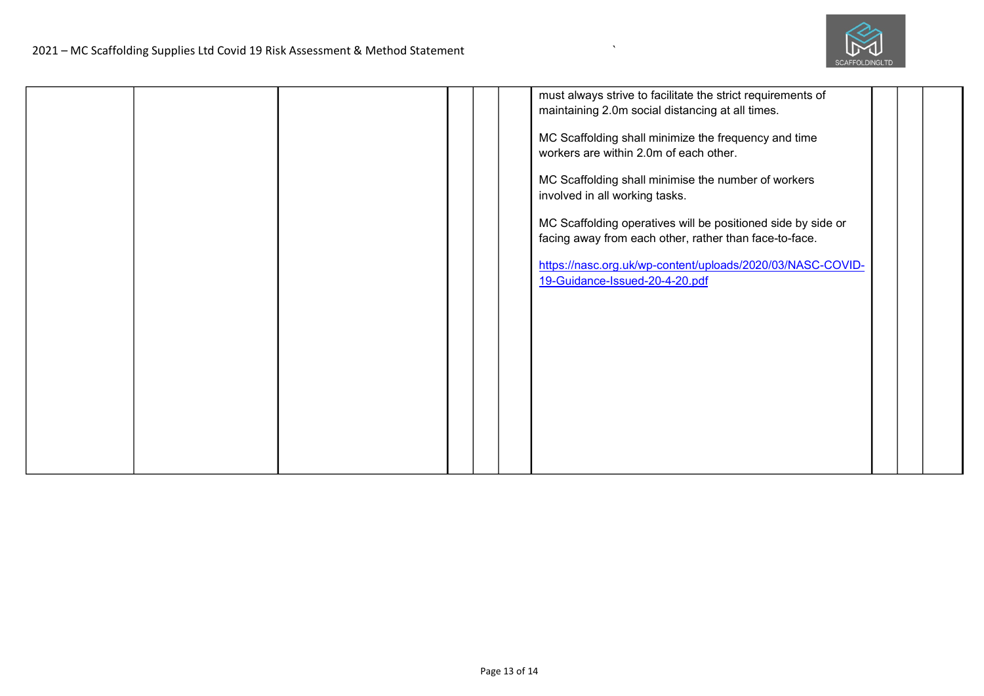

|  |  |  | must always strive to facilitate the strict requirements of  |  |  |
|--|--|--|--------------------------------------------------------------|--|--|
|  |  |  | maintaining 2.0m social distancing at all times.             |  |  |
|  |  |  |                                                              |  |  |
|  |  |  | MC Scaffolding shall minimize the frequency and time         |  |  |
|  |  |  | workers are within 2.0m of each other.                       |  |  |
|  |  |  |                                                              |  |  |
|  |  |  | MC Scaffolding shall minimise the number of workers          |  |  |
|  |  |  | involved in all working tasks.                               |  |  |
|  |  |  |                                                              |  |  |
|  |  |  | MC Scaffolding operatives will be positioned side by side or |  |  |
|  |  |  | facing away from each other, rather than face-to-face.       |  |  |
|  |  |  | https://nasc.org.uk/wp-content/uploads/2020/03/NASC-COVID-   |  |  |
|  |  |  | 19-Guidance-Issued-20-4-20.pdf                               |  |  |
|  |  |  |                                                              |  |  |
|  |  |  |                                                              |  |  |
|  |  |  |                                                              |  |  |
|  |  |  |                                                              |  |  |
|  |  |  |                                                              |  |  |
|  |  |  |                                                              |  |  |
|  |  |  |                                                              |  |  |
|  |  |  |                                                              |  |  |
|  |  |  |                                                              |  |  |
|  |  |  |                                                              |  |  |
|  |  |  |                                                              |  |  |
|  |  |  |                                                              |  |  |
|  |  |  |                                                              |  |  |